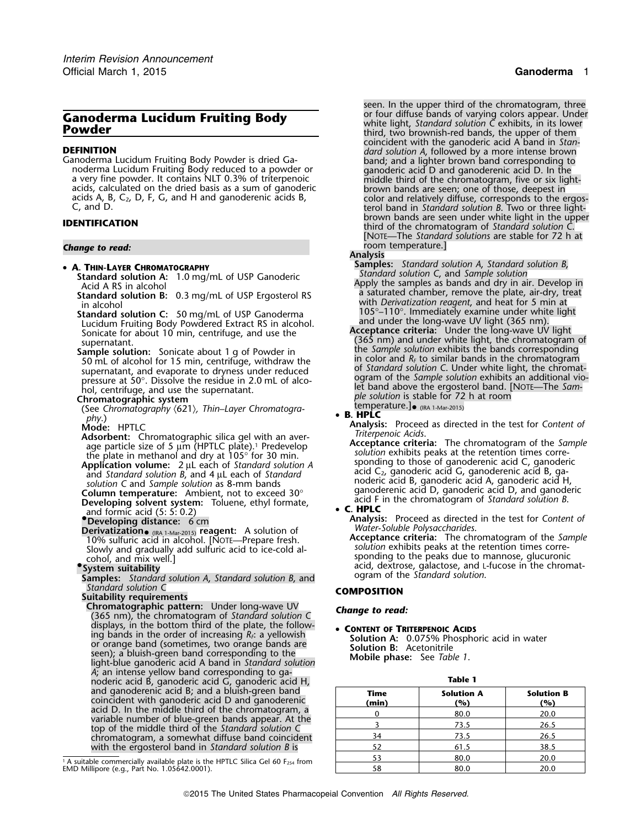# **Ganoderma Lucidum Fruiting Body**<br> **Powder Canoder Body** white light, *Standard solution C* exhibits, in its lower them<br>
third, two brownish-red bands, the upper of them

- 
- 

(See Chromatography  $\langle 621 \rangle$ , *Thin–Layer Chromatogra-*<br> **B. HPLCC**<br> *phy*.) • **B. HPLC** 

**Column temperature:** Ambient, not to exceed 30° ganoderenic acid D, ganoderic acid D, and ganode<br>Developing solvent system: Toluene, ethyl formate acid F in the chromatogram of Standard solution B. **Developing solvent system:** Toluene, ethyl formate, acid F in the chromatogram of *Standard solution B*. Developing solvent system: Toluene, ethyl formate, and formic acid (5: 5: 0.2) • **<sup>C</sup>. HPLC**

**•.Developing distance:** 6 cm

**Derivatization.** (The 11-Mar-2015) **reagent:** A solution of Water-Soluble Polysaccharides.<br>10% sulfuric acid in alcohol. [NOTE—Prepare fresh.<br>Slowly and gradually add sulfuric acid to ice-cold al-<br>cohol, and mix well.] ex

**Samples:** *Standard solution A, Standard solution B, and Standard solution C* 

*Standard solution C* **COMPOSITION Suitability requirements Chromatographic pattern:** Under long-wave UV *Change to read:* (365 nm), the chromatogram of *Standard solution C* displays, in the bottom third of the plate, the follow-<br>• **CONTENT OF TRITERPENOIC ACIDS** ing bands in the order of increasing R<sub>F</sub>: a yellowish<br>or orange band (sometimes, two orange bands are<br>seen); a bluish-green band corresponding to the<br>light-blue ganoderic acid A band in *Standard solution*<br>Mobile phase: S *A*; an intense yellow band corresponding to ganoderic acid B, ganoderic acid G, ganoderic acid H, **Table 1** coincident with ganoderic acid D and ganoderenic<br>acid D. In the middle third of the chromatogram, a<br>variable number of blue-green bands appear. At the<br>top of the middle third of the *Standard solution* C<br>top of the middle chromatogram, a somewhat diffuse band coincident  $\frac{34}{26.5}$  and  $\frac{73.5}{26.5}$  and  $\frac{26.5}{26.5}$ with the ergosterol band in *Standard solution B* is

*.* seen. In the upper third of the chromatogram, three coincident with the ganoderic acid A band in *Stan-***DEFINITION**<br>
Canoderma Lucidum Fruiting Body Powder is dried Ga-<br>
noderma Lucidum Fruiting Body Powder is dried Ga-<br>
noderma Lucidum Fruiting Body reduced to a powder or<br>
a very fine powder. It contains NLT 0.3% of triter acids, calculated on the dried basis as a sum of ganoderic<br>acids A, B, C<sub>2</sub>, D, F, G, and H and ganoderenic acids B,<br>C, and D.<br>**EXECUTE:**<br>A structure ight-<br>brown bands are seen under white light in the upper<br>providends are brown bands are seen under white light in the upper **IDENTIFICATION** third of the chromatogram of *Standard solution C*. [NOTE—The *Standard solutions* are stable for 72 h at **Change to read: Change to read: Change to read: Change to read: Change to read: Change to read: Change to read: Change to read: Change to read: Change to read: Change to read: Change to read: Chang** 

### **Analysis**

**Samples:** *Standard solution A*, *Standard solution B*, •

- **Standard solution A:** 1.0 mg/mL of USP Ganoderic<br>
Acid A RS in alcohol<br>
Standard solution B: 0.3 mg/mL of USP Ergosterol RS<br>
in alcohol<br>
in alcohol<br>
Lucidum Fruiting Body Powdered Extract RS in alcohol.<br>
Lucidum Fruiting
- 50 mL of alcohol for 15 min, centrifuge, withdraw the in color and *R<sub>F</sub>* to similar bands in the chromatogram supernatant, and evaporate to dryness under reduced of *Standard solution* C. Under white light, the chromatisupernatant, and evaporate to dryness under reduced<br>pressure at 50°. Dissolve the residue in 2.0 mL of alco-<br>hol, centrifuge, and use the supernatant.<br>hol, centrifuge, and use the supernatant. **Chromatographic system** *<sup>p</sup>le solution* is stable for 72 h at room

temperature.]• (IRA 1-Mar-2015)<br>• B. HPLC

*Mode:* HPTLC<br> **Mode:** HPTLC<br> **Mode:** HPTLC **Analysis:** Proceed as directed in the test for *Content of*<br> *Triterpenoic Acids*.

**Adsorbent:** Chromatographic silica gel with an aver-<br>age particle size of 5 µm (HPTLC plate).<sup>1</sup> Predevelop<br>the plate in methanol and dry at 105° for 30 min.<br>**Application volume:** 2 µL each of *Standard solution* A<br>**Appli**  $\frac{1}{2}$  and  $\frac{1}{2}$  and  $\frac{1}{2}$  and  $\frac{1}{2}$  and  $\frac{1}{2}$  and  $\frac{1}{2}$  and  $\frac{1}{2}$  and  $\frac{1}{2}$  and  $\frac{1}{2}$  and  $\frac{1}{2}$  and  $\frac{1}{2}$  and  $\frac{1}{2}$  and  $\frac{1}{2}$  and  $\frac{1}{2}$  and  $\frac{1}{2}$  and  $\frac{1}{2}$  a

**Analysis:** Proceed as directed in the test for *Content of*

cohol, and mix well.]<br>System suitability<br>System suitability<br>Samples: Standard solution 4 Standard solution R and ogram of the Standard solution.

| and ganoderenic acid B; and a bluish-green band<br>coincident with ganoderic acid D and ganoderenic                                                                                                                                                                              | Time<br>(min) | <b>Solution A</b><br>(%) | <b>Solution B</b><br>(%) |  |  |
|----------------------------------------------------------------------------------------------------------------------------------------------------------------------------------------------------------------------------------------------------------------------------------|---------------|--------------------------|--------------------------|--|--|
| acid D. In the middle third of the chromatogram, a<br>variable number of blue-green bands appear. At the<br>top of the middle third of the S <i>tandard solution</i> C<br>chromatogram, a somewhat diffuse band coincident<br>with the ergosterol band in Standard solution B is |               | 80.0                     | 20.0                     |  |  |
|                                                                                                                                                                                                                                                                                  |               | 73.5                     | 26.5                     |  |  |
|                                                                                                                                                                                                                                                                                  | 34            | 73.5                     | 26.5                     |  |  |
|                                                                                                                                                                                                                                                                                  |               | 61.5                     | 38.5                     |  |  |
| ble commercially available plate is the HPTLC Silica Gel 60 $F_{254}$ from<br>lipore (e.g., Part No. 1.05642.0001).                                                                                                                                                              |               | 80.0                     | 20.0                     |  |  |
|                                                                                                                                                                                                                                                                                  |               | 80.0                     | 20.0                     |  |  |

<sup>&</sup>lt;sup>1</sup> A suitable commercially available plate is the HPTLC Silica Gel 60 F<sub>254</sub> from  $\begin{array}{|l|l|}\hline \text{53} & \text{80.0} & \text{20.0}\ \text{EMD Millipore (e.g., Part No. 1.05642.0001).} \hline \end{array}$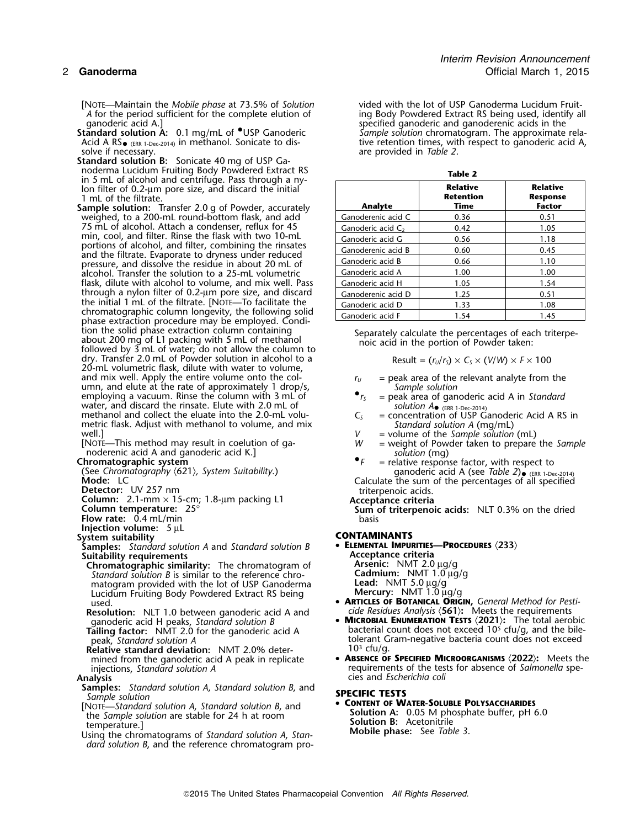- [NOTE—Maintain the *Mobile phase* at 73.5% of *Solution* vided with the lot of USP Ganoderma Lucidum Fruit-*A* for the period sufficient for the complete elution of ing Body Powdered Extract RS being used, identify all anoderic acid A.]
- Acid A RS<sub>• (ERR 1-Dec-2014)</sub> in methanol. Sonicate to dis-
- **Standard solution B:** Sonicate 40 mg of USP Gain 5 mL of alcohol and centrifuge. Pass through a nylon filter of 0.2-μm pore size, and discard the initial 1 mL of the filtrate.
- **Sample solution:** Transfer 2.0 g of Powder, accurately **Analyte Time Time Factor** weighed, to a 200-mL round-bottom flask, and add  $\qquad \qquad \begin{array}{c|c} \text{Ganoderenic acid C} & \text{0.36} \end{array} \qquad \qquad \begin{array}{c} 0.51 \end{array}$ 75 mL of alcohol. Attach a condenser, reflux for 45 min, cool, and filter. Rinse the flask with two 10-mL portions of alcohol, and filter, combining the rinsates and the filtrate. Evaporate to dryness under reduced<br>pressure, and dissolve the residue in about 20 mL of alcohol. Transfer the solution to a 25-mL volumetric flask, dilute with alcohol to volume, and mix well. Pass through a nylon filter of 0.2-µm pore size, and discard  $\left|$  Ganoderenic acid D  $\right|$  1.25  $\left|$  0.51 the initial 1 mL of the filtrate. [NOTE—To facilitate the Ganoderic acid D 1.33 1.08<br>chromatographic column longevity, the following solid Ganoderic acid F 1.54 1.45 phase extraction procedure may be employed. Condition the solid phase extraction column containing tion the solid phase extraction column containing<br>about 200 mg of L1 packing with 5 mL of methanol<br>followed by 3 mL of water; do not allow the column to<br>followed by 3 mL of water; do not allow the column to dry. Transfer 2.0 mL of Powder solution in alcohol to a 20-mL volumetric flask, dilute with water to volume, and mix well. Apply the entire volume onto the coland mix well. Apply the entire volume onto the col-<br>
umn, and elute at the rate of approximately 1 drop/s,<br>
employing a vacuum. Rinse the column with 3 mL of<br>  $r_s$  = peak area of ganoderic acid A in Standard<br>
er<sub>s</sub> = peak employing a vacuum. Rinse the column with 3 mL of water, and discard the rinsate. Elute with 2.0 mL of methanol and collect the eluate into the 2.0-mL volu-<br>metric flask. Adjust with methanol to volume, and mix *Standard solution A* (mg/mL)
- metric flask. Adjust with methanol to volume, and mix<br>
well.]<br>
Wall. This method may result in coelution of ga-<br>
More This method may result in coelution of ga-<br>
More weight of Powder taken to prepare the Sample<br>
nodereni
- 
- 
- 
- 
- 
- 
- **Flow rate:** 0.4 mL/min
- **Injection volume:**  $5 \mu L$ <br>System suitability
- 
- **Samples:** *Standard solution A* and *Standard solution B* **<sup>E</sup>LEMENTAL IMPURITIES—PROCEDURES** 〈**233**〉 **Suitability requirements Acceptance criteria**
- **Chromatographic similarity:** The chromatogram of **Chromatographic similarity:** The chromatogram of *Arsenic:* NMT 2.0 μg/g *Standard solution B* is similar to the reference chro-<br>
matogram provided with the lot of USP Ga *Standard solution B* is similar to the reference chromatogram provided with the lot of USP Ganoderma Lucidum Fruiting Body Powdered Extract RS being used.
- **Resolution:** NLT 1.0 between ganoderic acid A and *cide Residues Analysis* 〈**561**〉**:** Meets the requirements
- 
- Relative standard deviation: NMT 2.0% deter-<br>mined from the ganoderic acid A peak in replicate **Concentive ABSENCE OF SPECIFIED MICROORGANISMS** (2022): Meets the mined from the ganoderic acid A peak in replicate injections, *Standard solution A*

- **Samples:** *Standard solution A*, *Standard solution B*, and **SPECIFIC TESTS** *Sample solution* •
- 
- *dard solution B*, and the reference chromatogram pro-

ganoderic acid A.]<br>**Standard solution A:** 0.1 mg/mL of <sup>O</sup>USP Ganoderic standare of sample solution chromatogram. The approximate Sample solution chromatogram. The approximate rela-Acid A RS  $_{\text{ERR 1-Dec-2014)}}$  in methanol. Sonicate to dis-<br>solve if necessary.<br>are provided in Table 2. are provided in *Table 2*.

| Table 2              |                                      |                                                     |  |  |  |
|----------------------|--------------------------------------|-----------------------------------------------------|--|--|--|
| Analyte              | <b>Relative</b><br>Retention<br>Time | <b>Relative</b><br><b>Response</b><br><b>Factor</b> |  |  |  |
| Ganoderenic acid C   | 0.36                                 | 0.51                                                |  |  |  |
| Ganoderic acid $C_2$ | 0.42                                 | 1.05                                                |  |  |  |
| Ganoderic acid G     | 0.56                                 | 1.18                                                |  |  |  |
| Ganoderenic acid B   | 0.60                                 | 0.45                                                |  |  |  |
| Ganoderic acid B     | 0.66                                 | 1.10                                                |  |  |  |
| Ganoderic acid A     | 1.00                                 | 1.00                                                |  |  |  |
| Ganoderic acid H     | 1.05                                 | 1.54                                                |  |  |  |
| Ganoderenic acid D   | 1.25                                 | 0.51                                                |  |  |  |
| Ganoderic acid D     | 1.33                                 | 1.08                                                |  |  |  |
| Ganoderic acid F     | 1.54                                 | 1.45                                                |  |  |  |

$$
Result = (r_U/r_S) \times C_S \times (V/W) \times F \times 100
$$

- 
- solution  $A_{\bullet}$  (ERR 1-Dec-2014)<br>= concentration of USP Ganoderic Acid A RS in
- 
- 
- 
- 
- ganoderic acid A (see Table 2)  $\bullet$  (ERR 1-Dec-2014)<br>Calculate the sum of the percentages of all specified
- 
- 

Mode: LC<br>
Detector: UV 257 nm<br>
Calculate the sum of the percentages of all specified<br>
Column: 2.1-mm × 15-cm; 1.8-µm packing L1<br>
Column temperature: 25°<br>
Column temperature: 25°<br>
Sum of triterpenoic acids: NLT 0.3% on the

## **System suitability CONTAMINANTS**

- -
- used. **ARTICLES OF BOTANICAL ORIGIN,** *General Method for Pesti-*
- ganoderic acid H peaks, *Standard solution B* **MICROBIAL ENUMERATION TESTS** (2021): The total aerobic<br>Tailing factor: NMT 2.0 for the ganoderic acid A bacterial count does not exceed 10<sup>5</sup> cfu/g, and the bilebacterial count does not exceed 10<sup>5</sup> cfu/g, and the bile-<br> **Tailing factor:** NMT 2.0 for the ganoderic acid A . collection to be reader to the peak, *Standard solution A* tolerant Gram-negative bacteria count does not exceed<br>10<sup>3</sup> cfu/g.
- injections, *Standard solution A* requirements of the tests for absence of *Salmonella* spe-<br>Analysis cies and *Escherichia coli* **Analysis** cies and *Escherichia coli*

From Solution A: 0.05 M phosphate buffer, pH 6.0<br>the Sample solution are stable for 24 h at room<br>Using the chromatograms of Standard solution A, Stan-<br>Using the chromatograms of Standard solution A, Stan-<br>Mobile phase: Se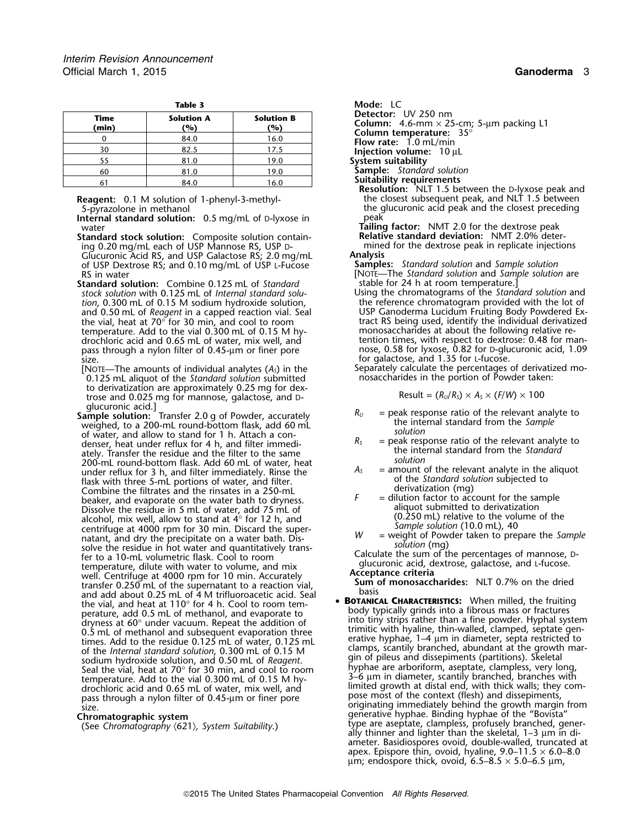| Mode: LC                                                       |                          | Table 3                  |               |  |
|----------------------------------------------------------------|--------------------------|--------------------------|---------------|--|
| <b>Detector:</b> UV 250 nm<br>Column: $4.6$ -mm $\times$ 25-cn | <b>Solution B</b><br>(%) | <b>Solution A</b><br>(%) | Time<br>(min) |  |
| Column temperature: 35<br><b>Flow rate:</b> $1.0$ mL/min       | 16.0                     | 84.0                     |               |  |
| Injection volume: 10 µL                                        | 17.5                     | 82.5                     | 30            |  |
| System suitability                                             | 19.0                     | 81.0                     | 55            |  |
| <b>Sample:</b> Standard solution                               | 19.0                     | 81.0                     | 60            |  |
| <b>Suitability requirements</b>                                | 16.0                     | 84.0                     |               |  |

**Internal standard solution:** 0.5 mg/mL of D-lyxose in peak water<br> **Tailing factor:** NMT 2.0 for the dextrose peak<br> **Tailing factor:** NMT 2.0% deter-<br> **Relative standard deviation:** NMT 2.0% deter-

**Standard stock solution:** Composite solution contain- **Relative standard deviation:** NMT 2.0% deter-

Glucuronic Acid RS, and USP Galactose RS; 2.0 mg/mL **Analysis** of USP Dextrose RS; and 0.10 mg/mL of USP L-Fucose **Samples:** *Standard solution* and *Sample solution*

**Standard solution:** Combine 0.125 mL of *Standard* stable for 24 h at room temperature.]<br>stock solution with 0.125 mL of *Internal standard solu*-<br>Using the chromatograms of the *Standard solution* and *stock solution* with 0.125 mL of *Internal standard solu-* Using the chromatograms of the *Standard solution* and temperature. Add to the vial 0.300 mL of 0.15 M hy- monosaccharides at about the following relative repass through a nylon filter of 0.45-µm or finer pore size. For galactose, and 1.35 for L-fucose.

0.125 mL aliquot of the Standard solution submitted to derivatization are approximately 0.25 mg for dextrose and 0.025 mg for mannose, galactose, and D-

weighed, to a 200-mL round-bottom flask, add 60 mL the internal standard from the internal standard from the *Salution*<br>of *Salution* For the same of water, and allow to stand for 1 h. Attach a con-<br>denser, heat under reflux for 4 h, and filter immediately. Transfer the residue and the filter to the same<br>200-mL round-bottom flask. Add 60 mL of water, he flask with three 5-mL portions of water, and filter.<br>
Combine the filtrates and the rinsates in a 250-mL<br>
beaker, and evaporate on the water bath to dryness.<br>  $\frac{1}{2}$  dilution factor to account for the sample beaker, and evaporate on the water bath to dryness.<br>Dissolve the residue in 5 mL of water add 75 mL of Dissolve the residue in 5 mL of water, add 75 mL of all allel aliquot submitted to derivatization<br>alcohol mix well allow to stand at 4° for 12 h and (0.250 mL) relative to the volume of the alcohol, mix well, allow to stand at  $4^{\circ}$  for 12 h, and<br>
centrifuge at 4000 rpm for 30 min. Discard the super-<br>
natant, and dry the precipitate on a water bath. Dis-<br>
solve the residue in hot water and quantitatively t temperature, dilute with water to volume, and mix glucuronic acid, dextrose under the volume, and mix superface of the volume of the volume of the volume of the volume of the volume of the value of the volume of the value well. Centrifuge at 4000 rpm for 10 min. Accurately **Acceptance criteria**<br>**Sum of monosaccharides:** NLT 0.7% on the dried **Sum of the supernatant to a reaction vial,** basis and add about 0.25 mL of 4 M trifluoroacetic acid. Seal basis basis basis and add about 0.25 mL of 4 M trifluoroacetic acid. Seal **basis and add about 0.25 mL of 4 M trifl** the vial, and heat at 110° for 4 h. Cool to room tem-<br>perature, add 0.5 mL of methanol, and evaporate to<br>dryness at 60° under vacuum. Repeat the addition of the time than a fine powder. Hyphal sys

**Detector:** UV 250 nm

**Column:** 4.6-mm × 25-cm; 5-µm packing L1 **Column temperature:** 35°<br>**Flow rate:** 1.0 mL/min

- 
- **Suitability requirements**<br>**Resolution:** NLT 1.5 between the D-lyxose peak and **Reagent:** 0.1 M solution of 1-phenyl-3-methyl- the closest subsequent peak, and NLT 1.5 between 5-pyrazolone in methanol the glucuronic acid peak and the closest preceding

ing 0.20 mg/mL each of USP Mannose RS, USP <sup>D</sup>- mined for the dextrose peak in replicate injections

RS in water<br>
RS in water<br> **Example solution:** Combine 0.125 mL of *Standard* stable for 24 h at room temperature.

tion, 0.300 mL of 0.15 M sodium hydroxide solution, the reference chromatogram provided with the lot of the lot<br>and 0.50 mL of *Reagent* in a capped reaction vial. Seal Turn USP Ganoderma Lucidum Fruiting Body Powdered Exand 0.50 mL of *Reagent* in a capped reaction vial. Seal USP Ganoderma Lucidum Fruiting Body Powdered Ex-<br>the vial, heat at 70° for 30 min, and cool to room the stract RS being used, identify the individual derivatized the vial, heat at 70 $^{\circ}$  for 30 min, and cool to room tract RS being used, identify the individual derivatized drochloric acid and 0.65 mL of water, mix well, and tention times, with respect to dextrose: 0.48 for man-<br>pass through a nylon filter of 0.45-µm or finer pore nose, 0.58 for lyxose, 0.82 for D-glucuronic acid, 1.09

[NOTE—The amounts of individual analytes  $(A_5)$  in the Separately calculate the percentages of derivatized mo-<br> $0.125$  mL aliquot of the *Standard solution* submitted nosaccharides in the portion of Powder taken:

$$
Result = (R_U/R_S) \times A_S \times (F/W) \times 100
$$

- glucuronic acid.]<br>**Sample solution:** Transfer 2.0 g of Powder, accurately **R**<sub>U</sub> = peak response ratio of the relevant analyte to **Sample**<br>weighed to a 200-ml round-bottom flask add 60 ml **the internal standard from the Sa** 
	-
	-
	-
	-

• BOTANICAL CHARACTERISTICS: When milled, the fruiting dryness at 60° under vacuum. Repeat the addition of into tiny strips rather than a fine powder. Hyphal system<br>1.5 mL of methanol and subsequent evaporation three than the timitic with hyaline, thin-walled, clamped, septate Fines. Add to the residue 0.125 mL of water, 0.125 mL<br>of the *Internal standard solution*, 0.300 mL of 0.15 M<br>sodium hydroxide solution, and 0.50 mL of *Reagent*.<br>Seal the vial, heat at 70° for 30 min, and cool to room<br>tem pass unough a hylon litter of 0.45-un of litter pore<br>size. **Chromatographic system** generative hyphae. Binding hyphae of the "Bovista" type are aseptate, clampless, profusely branched, gener- (See *Chromatography* 〈621〉*, System Suitability*.) ally thinner and lighter than the skeletal, 1–3 µm in diameter. Basidiospores ovoid, double-walled, truncated at apex. Epispore thin, ovoid, hyaline,  $9.0-11.5 \times 6.0-8.0$  $\mu$ m; endospore thick, ovoid, 6.5–8.5  $\times$  5.0–6.5  $\mu$ m,